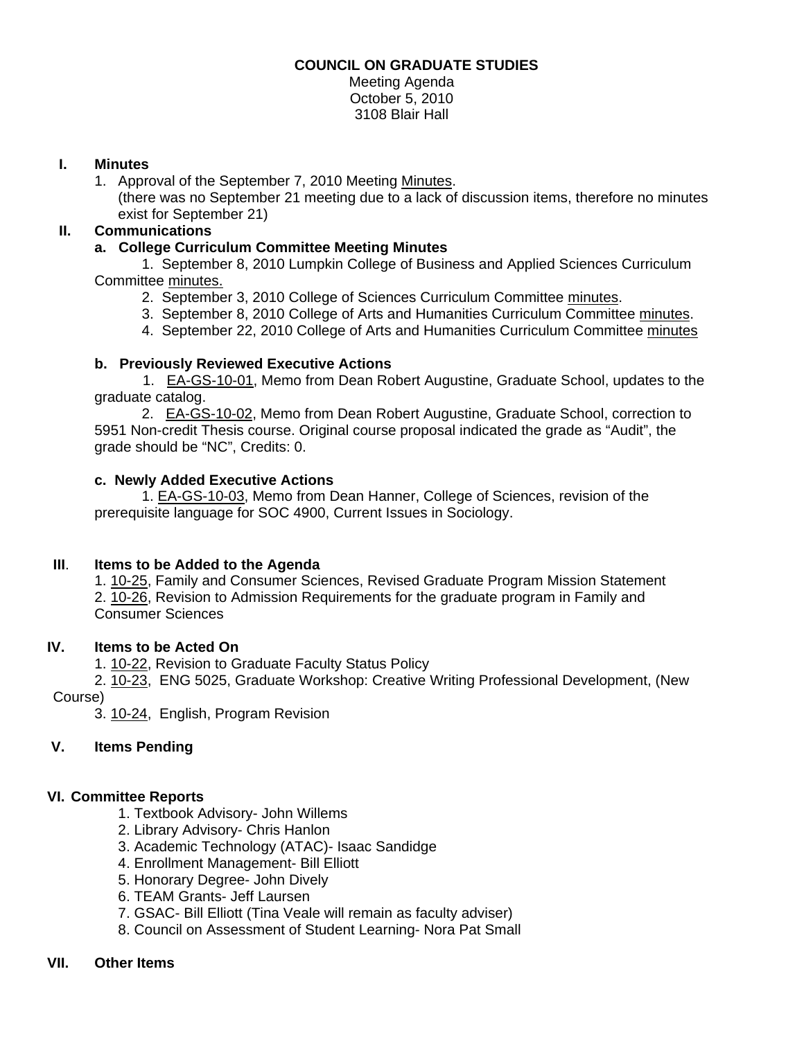#### **COUNCIL ON GRADUATE STUDIES**

Meeting Agenda October 5, 2010 3108 Blair Hall

#### **I. Minutes**

1. Approval of the September 7, 2010 Meeti[ng Minutes.](http://castle.eiu.edu/~eiucgs/currentminutes/Minutes9-7-10.pdf) 

(there was no September 21 meeting due to a lack of discussion items, therefore no minutes exist for September 21)

#### **II. Communications**

#### **a. College Curriculum Committee Meeting Minutes**

 1. September 8, 2010 Lumpkin College of Business and Applied Sciences Curriculum Committe[e minutes.](http://www.eiu.edu/~eiucgs/currentagendaitems/LCBASMin9-8-10.pdf)

- 2. September 3, 2010 College of Sciences Curriculum Committ[ee minutes.](http://www.eiu.edu/~eiucgs/currentagendaitems/COSMin9-3-10.pdf)
- 3. September 8, 2010 College of Arts and Humanities Curriculum Committee [minutes.](http://www.eiu.edu/~eiucgs/currentagendaitems/CAHMin9-8-10.pdf)
- 4. September 22, 2010 College of Arts and Humanities Curriculum Committe[e minutes](http://www.eiu.edu/~eiucgs/currentagendaitems/CAHMin9-22-10.pdf)

## **b. Previously Reviewed Executive Actions**

1.[EA-GS-10-01, M](http://www.eiu.edu/~eiucgs/exec-actions/EA-GS-10-01.pdf)emo from Dean Robert Augustine, Graduate School, updates to the graduate catalog.

2. [EA-GS-10-02, M](http://www.eiu.edu/~eiucgs/exec-actions/EA-GS-10-02.pdf)emo from Dean Robert Augustine, Graduate School, correction to 5951 Non-credit Thesis course. Original course proposal indicated the grade as "Audit", the grade should be "NC", Credits: 0.

## **c. Newly Added Executive Actions**

 [1. EA-GS-10-03,](http://www.eiu.edu/~eiucgs/exec-actions/EA-GS-10-03.pdf) Memo from Dean Hanner, College of Sciences, revision of the prerequisite language for SOC 4900, Current Issues in Sociology.

## **III**. **Items to be Added to the Agenda**

1. [10-25, F](http://www.eiu.edu/~eiucgs/currentagendaitems/agenda10-25.pdf)amily and Consumer Sciences, Revised Graduate Program Mission Statement 2. [10-26, R](http://www.eiu.edu/~eiucgs/currentagendaitems/agenda10-26.pdf)evision to Admission Requirements for the graduate program in Family and Consumer Sciences

## **IV. Items to be Acted On**

1. [10-22, R](http://www.eiu.edu/~eiucgs/currentagendaitems/agenda10-22.pdf)evision to Graduate Faculty Status Policy

2. [10-23, E](http://www.eiu.edu/~eiucgs/currentagendaitems/agenda10-23.pdf)NG 5025, Graduate Workshop: Creative Writing Professional Development, (New Course)

3[. 10-24, E](http://www.eiu.edu/~eiucgs/currentagendaitems/agenda10-24.pdf)nglish, Program Revision

# **V. Items Pending**

# **VI. Committee Reports**

- 1. Textbook Advisory- John Willems
- 2. Library Advisory- Chris Hanlon
- 3. Academic Technology (ATAC)- Isaac Sandidge
- 4. Enrollment Management- Bill Elliott
- 5. Honorary Degree- John Dively
- 6. TEAM Grants- Jeff Laursen
- 7. GSAC- Bill Elliott (Tina Veale will remain as faculty adviser)
- 8. Council on Assessment of Student Learning- Nora Pat Small

## **VII. Other Items**